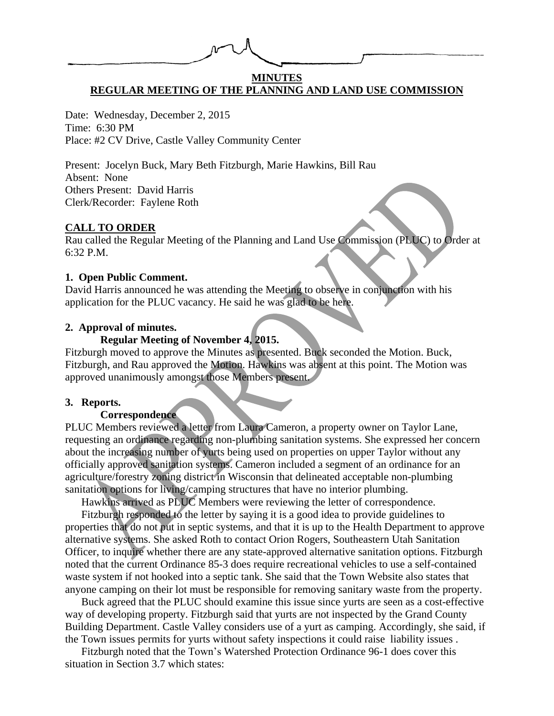## **MINUTES REGULAR MEETING OF THE PLANNING AND LAND USE COMMISSION**

Date: Wednesday, December 2, 2015 Time: 6:30 PM Place: #2 CV Drive, Castle Valley Community Center

Present: Jocelyn Buck, Mary Beth Fitzburgh, Marie Hawkins, Bill Rau Absent: None Others Present: David Harris Clerk/Recorder: Faylene Roth

#### **CALL TO ORDER**

Rau called the Regular Meeting of the Planning and Land Use Commission (PLUC) to Order at 6:32 P.M.

#### **1. Open Public Comment.**

David Harris announced he was attending the Meeting to observe in conjunction with his application for the PLUC vacancy. He said he was glad to be here.

### **2. Approval of minutes.**

## **Regular Meeting of November 4, 2015.**

Fitzburgh moved to approve the Minutes as presented. Buck seconded the Motion. Buck, Fitzburgh, and Rau approved the Motion. Hawkins was absent at this point. The Motion was approved unanimously amongst those Members present.

### **3. Reports.**

### **Correspondence**

PLUC Members reviewed a letter from Laura Cameron, a property owner on Taylor Lane, requesting an ordinance regarding non-plumbing sanitation systems. She expressed her concern about the increasing number of yurts being used on properties on upper Taylor without any officially approved sanitation systems. Cameron included a segment of an ordinance for an agriculture/forestry zoning district in Wisconsin that delineated acceptable non-plumbing sanitation options for living/camping structures that have no interior plumbing.

Hawkins arrived as PLUC Members were reviewing the letter of correspondence.

Fitzburgh responded to the letter by saying it is a good idea to provide guidelines to properties that do not put in septic systems, and that it is up to the Health Department to approve alternative systems. She asked Roth to contact Orion Rogers, Southeastern Utah Sanitation Officer, to inquire whether there are any state-approved alternative sanitation options. Fitzburgh noted that the current Ordinance 85-3 does require recreational vehicles to use a self-contained waste system if not hooked into a septic tank. She said that the Town Website also states that anyone camping on their lot must be responsible for removing sanitary waste from the property.

Buck agreed that the PLUC should examine this issue since yurts are seen as a cost-effective way of developing property. Fitzburgh said that yurts are not inspected by the Grand County Building Department. Castle Valley considers use of a yurt as camping. Accordingly, she said, if the Town issues permits for yurts without safety inspections it could raise liability issues .

Fitzburgh noted that the Town's Watershed Protection Ordinance 96-1 does cover this situation in Section 3.7 which states: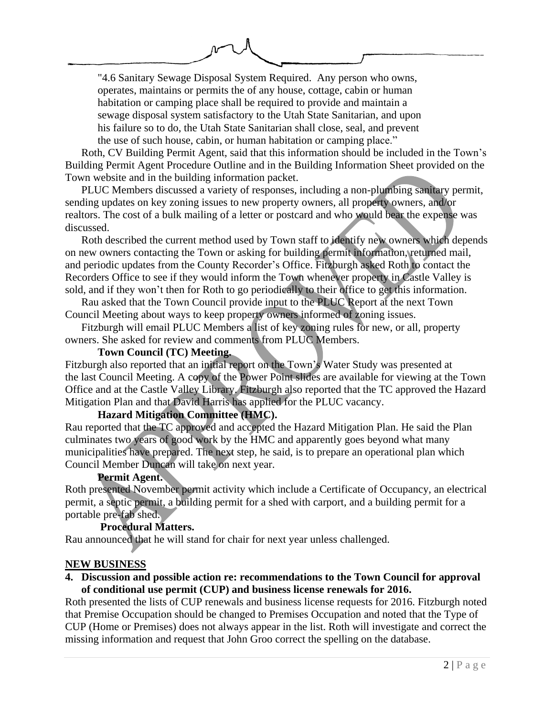"4.6 Sanitary Sewage Disposal System Required. Any person who owns, operates, maintains or permits the of any house, cottage, cabin or human habitation or camping place shall be required to provide and maintain a sewage disposal system satisfactory to the Utah State Sanitarian, and upon his failure so to do, the Utah State Sanitarian shall close, seal, and prevent the use of such house, cabin, or human habitation or camping place."

Roth, CV Building Permit Agent, said that this information should be included in the Town's Building Permit Agent Procedure Outline and in the Building Information Sheet provided on the Town website and in the building information packet.

PLUC Members discussed a variety of responses, including a non-plumbing sanitary permit, sending updates on key zoning issues to new property owners, all property owners, and/or realtors. The cost of a bulk mailing of a letter or postcard and who would bear the expense was discussed.

Roth described the current method used by Town staff to identify new owners which depends on new owners contacting the Town or asking for building permit information, returned mail, and periodic updates from the County Recorder's Office. Fitzburgh asked Roth to contact the Recorders Office to see if they would inform the Town whenever property in Castle Valley is sold, and if they won't then for Roth to go periodically to their office to get this information.

Rau asked that the Town Council provide input to the PLUC Report at the next Town Council Meeting about ways to keep property owners informed of zoning issues.

Fitzburgh will email PLUC Members a list of key zoning rules for new, or all, property owners. She asked for review and comments from PLUC Members.

## **Town Council (TC) Meeting.**

Fitzburgh also reported that an initial report on the Town's Water Study was presented at the last Council Meeting. A copy of the Power Point slides are available for viewing at the Town Office and at the Castle Valley Library. Fitzburgh also reported that the TC approved the Hazard Mitigation Plan and that David Harris has applied for the PLUC vacancy.

# **Hazard Mitigation Committee (HMC).**

Rau reported that the TC approved and accepted the Hazard Mitigation Plan. He said the Plan culminates two years of good work by the HMC and apparently goes beyond what many municipalities have prepared. The next step, he said, is to prepare an operational plan which Council Member Duncan will take on next year.

### **Permit Agent.**

Roth presented November permit activity which include a Certificate of Occupancy, an electrical permit, a septic permit, a building permit for a shed with carport, and a building permit for a portable pre-fab shed.

# **Procedural Matters.**

Rau announced that he will stand for chair for next year unless challenged.

# **NEW BUSINESS**

## **4. Discussion and possible action re: recommendations to the Town Council for approval of conditional use permit (CUP) and business license renewals for 2016.**

Roth presented the lists of CUP renewals and business license requests for 2016. Fitzburgh noted that Premise Occupation should be changed to Premises Occupation and noted that the Type of CUP (Home or Premises) does not always appear in the list. Roth will investigate and correct the missing information and request that John Groo correct the spelling on the database.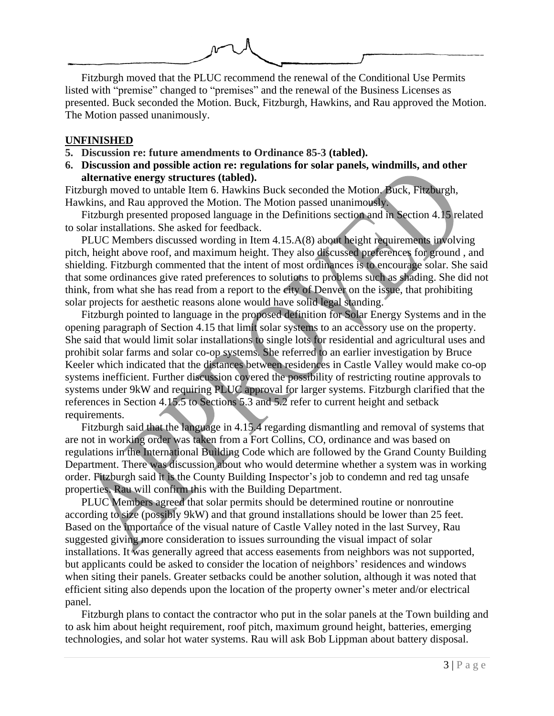

Fitzburgh moved that the PLUC recommend the renewal of the Conditional Use Permits listed with "premise" changed to "premises" and the renewal of the Business Licenses as presented. Buck seconded the Motion. Buck, Fitzburgh, Hawkins, and Rau approved the Motion. The Motion passed unanimously.

### **UNFINISHED**

- **5. Discussion re: future amendments to Ordinance 85-3 (tabled).**
- **6. Discussion and possible action re: regulations for solar panels, windmills, and other alternative energy structures (tabled).**

Fitzburgh moved to untable Item 6. Hawkins Buck seconded the Motion. Buck, Fitzburgh, Hawkins, and Rau approved the Motion. The Motion passed unanimously.

Fitzburgh presented proposed language in the Definitions section and in Section 4.15 related to solar installations. She asked for feedback.

PLUC Members discussed wording in Item 4.15.A(8) about height requirements involving pitch, height above roof, and maximum height. They also discussed preferences for ground , and shielding. Fitzburgh commented that the intent of most ordinances is to encourage solar. She said that some ordinances give rated preferences to solutions to problems such as shading. She did not think, from what she has read from a report to the city of Denver on the issue, that prohibiting solar projects for aesthetic reasons alone would have solid legal standing.

Fitzburgh pointed to language in the proposed definition for Solar Energy Systems and in the opening paragraph of Section 4.15 that limit solar systems to an accessory use on the property. She said that would limit solar installations to single lots for residential and agricultural uses and prohibit solar farms and solar co-op systems. She referred to an earlier investigation by Bruce Keeler which indicated that the distances between residences in Castle Valley would make co-op systems inefficient. Further discussion covered the possibility of restricting routine approvals to systems under 9kW and requiring PLUC approval for larger systems. Fitzburgh clarified that the references in Section 4.15.5 to Sections 5.3 and 5.2 refer to current height and setback requirements.

Fitzburgh said that the language in 4.15.4 regarding dismantling and removal of systems that are not in working order was taken from a Fort Collins, CO, ordinance and was based on regulations in the International Building Code which are followed by the Grand County Building Department. There was discussion about who would determine whether a system was in working order. Fitzburgh said it is the County Building Inspector's job to condemn and red tag unsafe properties. Rau will confirm this with the Building Department.

PLUC Members agreed that solar permits should be determined routine or nonroutine according to size (possibly 9kW) and that ground installations should be lower than 25 feet. Based on the importance of the visual nature of Castle Valley noted in the last Survey, Rau suggested giving more consideration to issues surrounding the visual impact of solar installations. It was generally agreed that access easements from neighbors was not supported, but applicants could be asked to consider the location of neighbors' residences and windows when siting their panels. Greater setbacks could be another solution, although it was noted that efficient siting also depends upon the location of the property owner's meter and/or electrical panel.

Fitzburgh plans to contact the contractor who put in the solar panels at the Town building and to ask him about height requirement, roof pitch, maximum ground height, batteries, emerging technologies, and solar hot water systems. Rau will ask Bob Lippman about battery disposal.